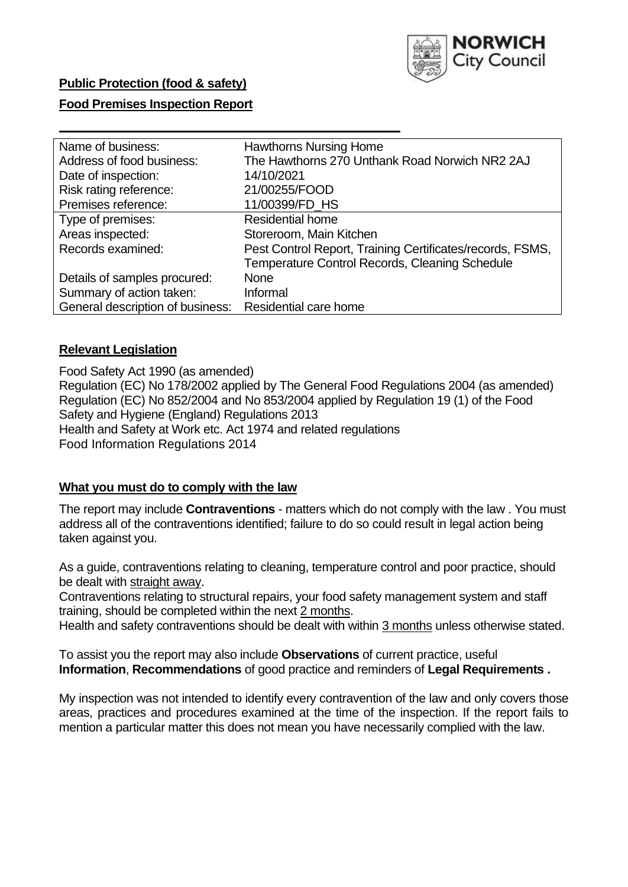

# **Public Protection (food & safety)**

## **Food Premises Inspection Report**

| Name of business:                | <b>Hawthorns Nursing Home</b>                             |  |  |  |  |
|----------------------------------|-----------------------------------------------------------|--|--|--|--|
| Address of food business:        | The Hawthorns 270 Unthank Road Norwich NR2 2AJ            |  |  |  |  |
| Date of inspection:              | 14/10/2021                                                |  |  |  |  |
| Risk rating reference:           | 21/00255/FOOD                                             |  |  |  |  |
| Premises reference:              | 11/00399/FD_HS                                            |  |  |  |  |
| Type of premises:                | <b>Residential home</b>                                   |  |  |  |  |
| Areas inspected:                 | Storeroom, Main Kitchen                                   |  |  |  |  |
| Records examined:                | Pest Control Report, Training Certificates/records, FSMS, |  |  |  |  |
|                                  | <b>Temperature Control Records, Cleaning Schedule</b>     |  |  |  |  |
| Details of samples procured:     | <b>None</b>                                               |  |  |  |  |
| Summary of action taken:         | Informal                                                  |  |  |  |  |
| General description of business: | Residential care home                                     |  |  |  |  |

## **Relevant Legislation**

Food Safety Act 1990 (as amended) Regulation (EC) No 178/2002 applied by The General Food Regulations 2004 (as amended) Regulation (EC) No 852/2004 and No 853/2004 applied by Regulation 19 (1) of the Food Safety and Hygiene (England) Regulations 2013 Health and Safety at Work etc. Act 1974 and related regulations Food Information Regulations 2014

## **What you must do to comply with the law**

The report may include **Contraventions** - matters which do not comply with the law . You must address all of the contraventions identified; failure to do so could result in legal action being taken against you.

As a guide, contraventions relating to cleaning, temperature control and poor practice, should be dealt with straight away.

Contraventions relating to structural repairs, your food safety management system and staff training, should be completed within the next 2 months.

Health and safety contraventions should be dealt with within 3 months unless otherwise stated.

To assist you the report may also include **Observations** of current practice, useful **Information**, **Recommendations** of good practice and reminders of **Legal Requirements .**

My inspection was not intended to identify every contravention of the law and only covers those areas, practices and procedures examined at the time of the inspection. If the report fails to mention a particular matter this does not mean you have necessarily complied with the law.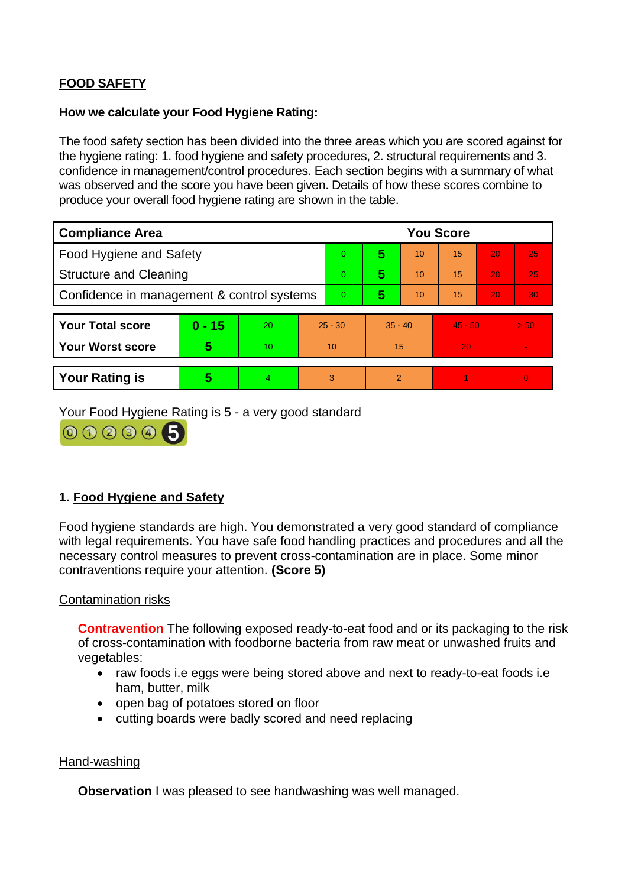# **FOOD SAFETY**

#### **How we calculate your Food Hygiene Rating:**

The food safety section has been divided into the three areas which you are scored against for the hygiene rating: 1. food hygiene and safety procedures, 2. structural requirements and 3. confidence in management/control procedures. Each section begins with a summary of what was observed and the score you have been given. Details of how these scores combine to produce your overall food hygiene rating are shown in the table.

| <b>Compliance Area</b>                     |          |    |                | <b>You Score</b> |                |           |    |           |                |  |  |
|--------------------------------------------|----------|----|----------------|------------------|----------------|-----------|----|-----------|----------------|--|--|
| Food Hygiene and Safety                    |          |    |                | $\overline{0}$   | 5              | 10        | 15 | 20        | 25             |  |  |
| <b>Structure and Cleaning</b>              |          |    |                | $\overline{0}$   | 5              | 10        | 15 | 20        | 25             |  |  |
| Confidence in management & control systems |          |    | $\overline{0}$ | 5                | 10             | 15        | 20 | 30        |                |  |  |
|                                            |          |    |                |                  |                |           |    |           |                |  |  |
| <b>Your Total score</b>                    | $0 - 15$ | 20 |                | $25 - 30$        |                | $35 - 40$ |    | $45 - 50$ | > 50           |  |  |
| <b>Your Worst score</b>                    | 5        | 10 | 10             |                  | 15             |           | 20 |           | $\blacksquare$ |  |  |
|                                            |          |    |                |                  |                |           |    |           |                |  |  |
| <b>Your Rating is</b>                      | 5        | 4  | 3              |                  | $\overline{2}$ |           |    |           | $\Omega$       |  |  |

Your Food Hygiene Rating is 5 - a very good standard



# **1. Food Hygiene and Safety**

Food hygiene standards are high. You demonstrated a very good standard of compliance with legal requirements. You have safe food handling practices and procedures and all the necessary control measures to prevent cross-contamination are in place. Some minor contraventions require your attention. **(Score 5)**

## Contamination risks

**Contravention** The following exposed ready-to-eat food and or its packaging to the risk of cross-contamination with foodborne bacteria from raw meat or unwashed fruits and vegetables:

- raw foods i.e eggs were being stored above and next to ready-to-eat foods i.e ham, butter, milk
- open bag of potatoes stored on floor
- cutting boards were badly scored and need replacing

#### Hand-washing

**Observation** I was pleased to see handwashing was well managed.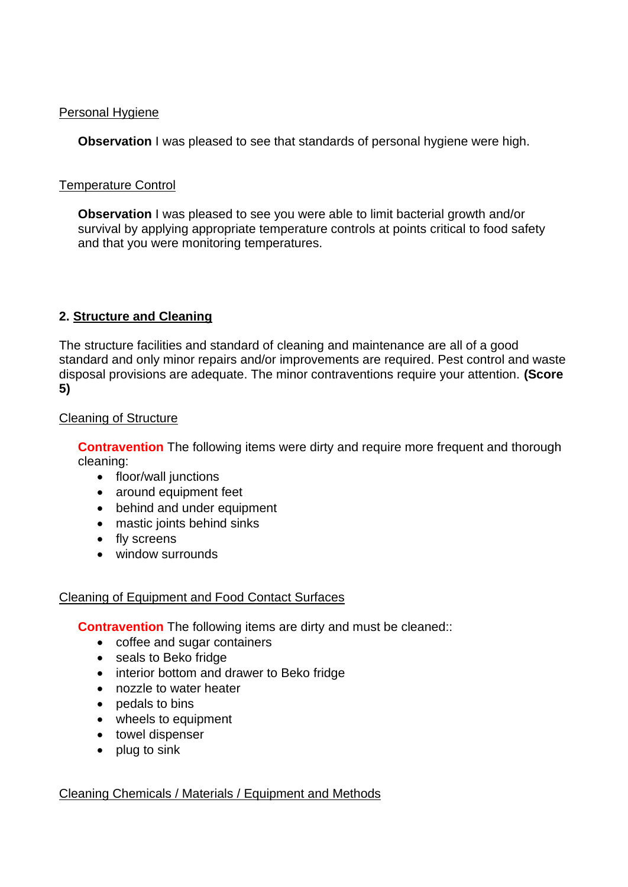## Personal Hygiene

**Observation** I was pleased to see that standards of personal hygiene were high.

# Temperature Control

**Observation** I was pleased to see you were able to limit bacterial growth and/or survival by applying appropriate temperature controls at points critical to food safety and that you were monitoring temperatures.

# **2. Structure and Cleaning**

The structure facilities and standard of cleaning and maintenance are all of a good standard and only minor repairs and/or improvements are required. Pest control and waste disposal provisions are adequate. The minor contraventions require your attention. **(Score 5)**

## Cleaning of Structure

**Contravention** The following items were dirty and require more frequent and thorough cleaning:

- floor/wall junctions
- around equipment feet
- behind and under equipment
- mastic joints behind sinks
- fly screens
- window surrounds

## Cleaning of Equipment and Food Contact Surfaces

**Contravention** The following items are dirty and must be cleaned::

- coffee and sugar containers
- seals to Beko fridge
- interior bottom and drawer to Beko fridge
- nozzle to water heater
- pedals to bins
- wheels to equipment
- towel dispenser
- plug to sink

## Cleaning Chemicals / Materials / Equipment and Methods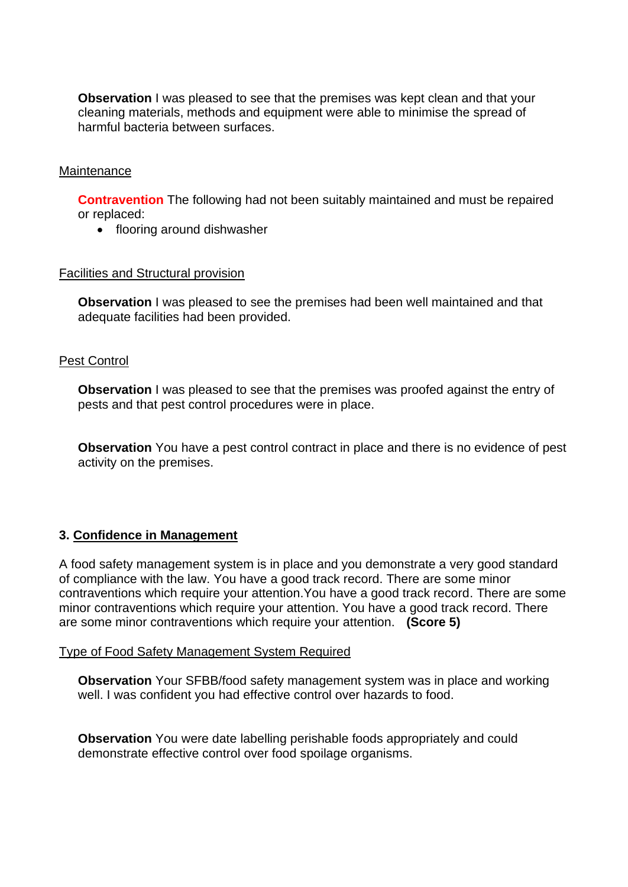**Observation** I was pleased to see that the premises was kept clean and that your cleaning materials, methods and equipment were able to minimise the spread of harmful bacteria between surfaces.

#### **Maintenance**

**Contravention** The following had not been suitably maintained and must be repaired or replaced:

• flooring around dishwasher

#### Facilities and Structural provision

**Observation** I was pleased to see the premises had been well maintained and that adequate facilities had been provided.

#### Pest Control

**Observation** I was pleased to see that the premises was proofed against the entry of pests and that pest control procedures were in place.

**Observation** You have a pest control contract in place and there is no evidence of pest activity on the premises.

## **3. Confidence in Management**

A food safety management system is in place and you demonstrate a very good standard of compliance with the law. You have a good track record. There are some minor contraventions which require your attention.You have a good track record. There are some minor contraventions which require your attention. You have a good track record. There are some minor contraventions which require your attention. **(Score 5)**

#### Type of Food Safety Management System Required

**Observation** Your SFBB/food safety management system was in place and working well. I was confident you had effective control over hazards to food.

**Observation** You were date labelling perishable foods appropriately and could demonstrate effective control over food spoilage organisms.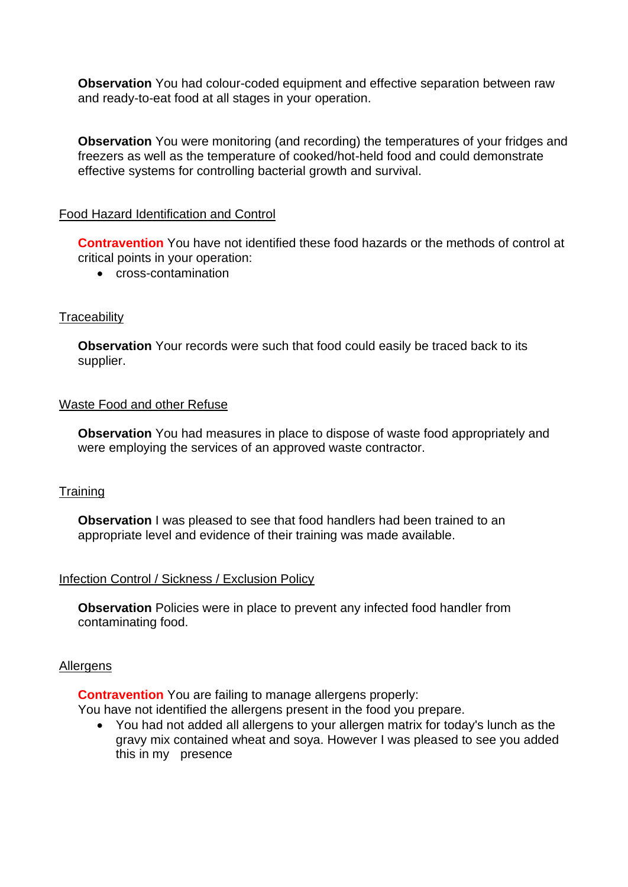**Observation** You had colour-coded equipment and effective separation between raw and ready-to-eat food at all stages in your operation.

**Observation** You were monitoring (and recording) the temperatures of your fridges and freezers as well as the temperature of cooked/hot-held food and could demonstrate effective systems for controlling bacterial growth and survival.

#### Food Hazard Identification and Control

**Contravention** You have not identified these food hazards or the methods of control at critical points in your operation:

• cross-contamination

#### **Traceability**

**Observation** Your records were such that food could easily be traced back to its supplier.

#### Waste Food and other Refuse

**Observation** You had measures in place to dispose of waste food appropriately and were employing the services of an approved waste contractor.

#### **Training**

**Observation** I was pleased to see that food handlers had been trained to an appropriate level and evidence of their training was made available.

## Infection Control / Sickness / Exclusion Policy

**Observation** Policies were in place to prevent any infected food handler from contaminating food.

#### Allergens

**Contravention** You are failing to manage allergens properly:

You have not identified the allergens present in the food you prepare.

• You had not added all allergens to your allergen matrix for today's lunch as the gravy mix contained wheat and soya. However I was pleased to see you added this in my presence